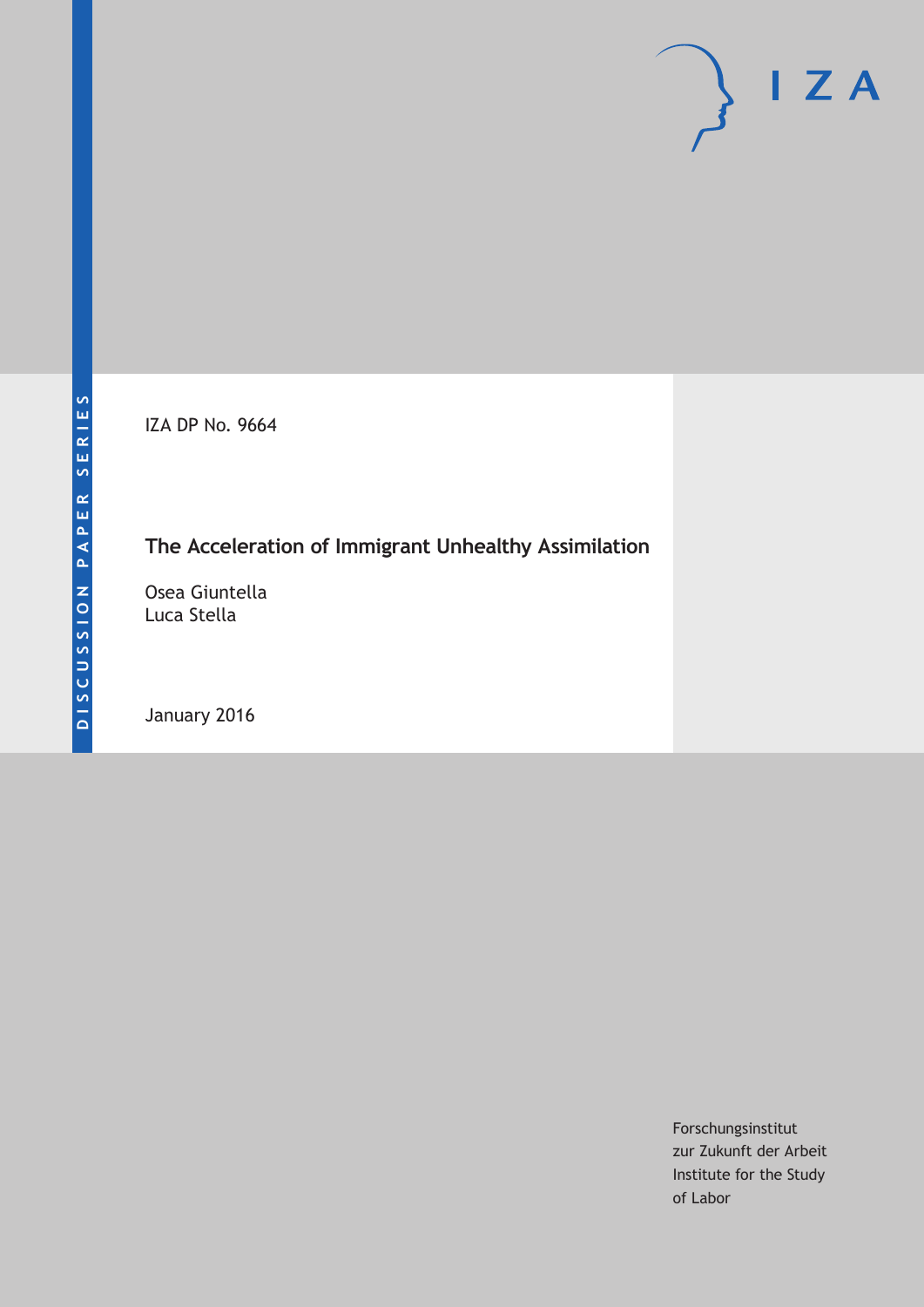IZA DP No. 9664

# **The Acceleration of Immigrant Unhealthy Assimilation**

Osea Giuntella Luca Stella

January 2016

Forschungsinstitut zur Zukunft der Arbeit Institute for the Study of Labor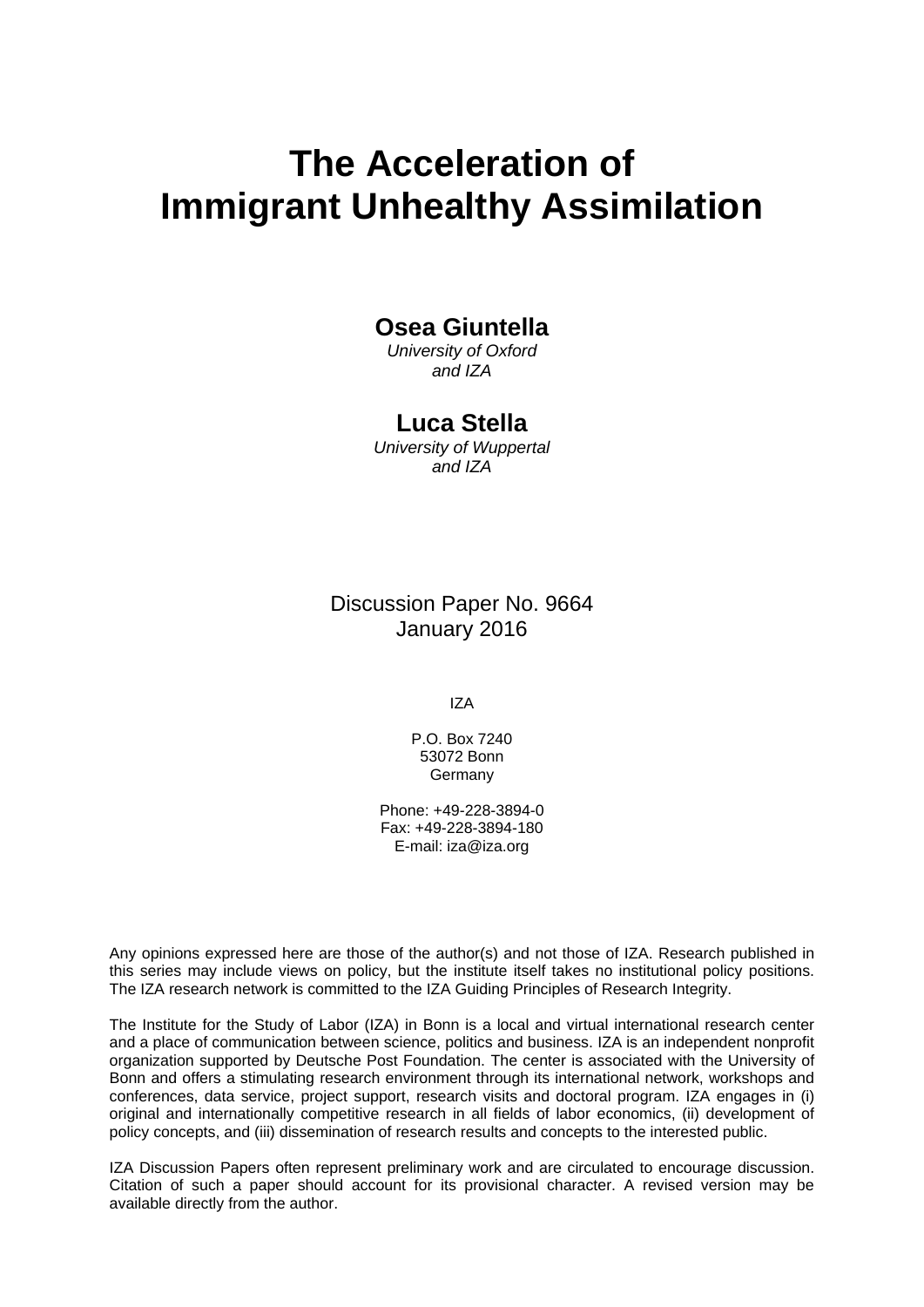# **The Acceleration of Immigrant Unhealthy Assimilation**

# **Osea Giuntella**

*University of Oxford and IZA* 

## **Luca Stella**

*University of Wuppertal and IZA* 

Discussion Paper No. 9664 January 2016

IZA

P.O. Box 7240 53072 Bonn Germany

Phone: +49-228-3894-0 Fax: +49-228-3894-180 E-mail: iza@iza.org

Any opinions expressed here are those of the author(s) and not those of IZA. Research published in this series may include views on policy, but the institute itself takes no institutional policy positions. The IZA research network is committed to the IZA Guiding Principles of Research Integrity.

The Institute for the Study of Labor (IZA) in Bonn is a local and virtual international research center and a place of communication between science, politics and business. IZA is an independent nonprofit organization supported by Deutsche Post Foundation. The center is associated with the University of Bonn and offers a stimulating research environment through its international network, workshops and conferences, data service, project support, research visits and doctoral program. IZA engages in (i) original and internationally competitive research in all fields of labor economics, (ii) development of policy concepts, and (iii) dissemination of research results and concepts to the interested public.

IZA Discussion Papers often represent preliminary work and are circulated to encourage discussion. Citation of such a paper should account for its provisional character. A revised version may be available directly from the author.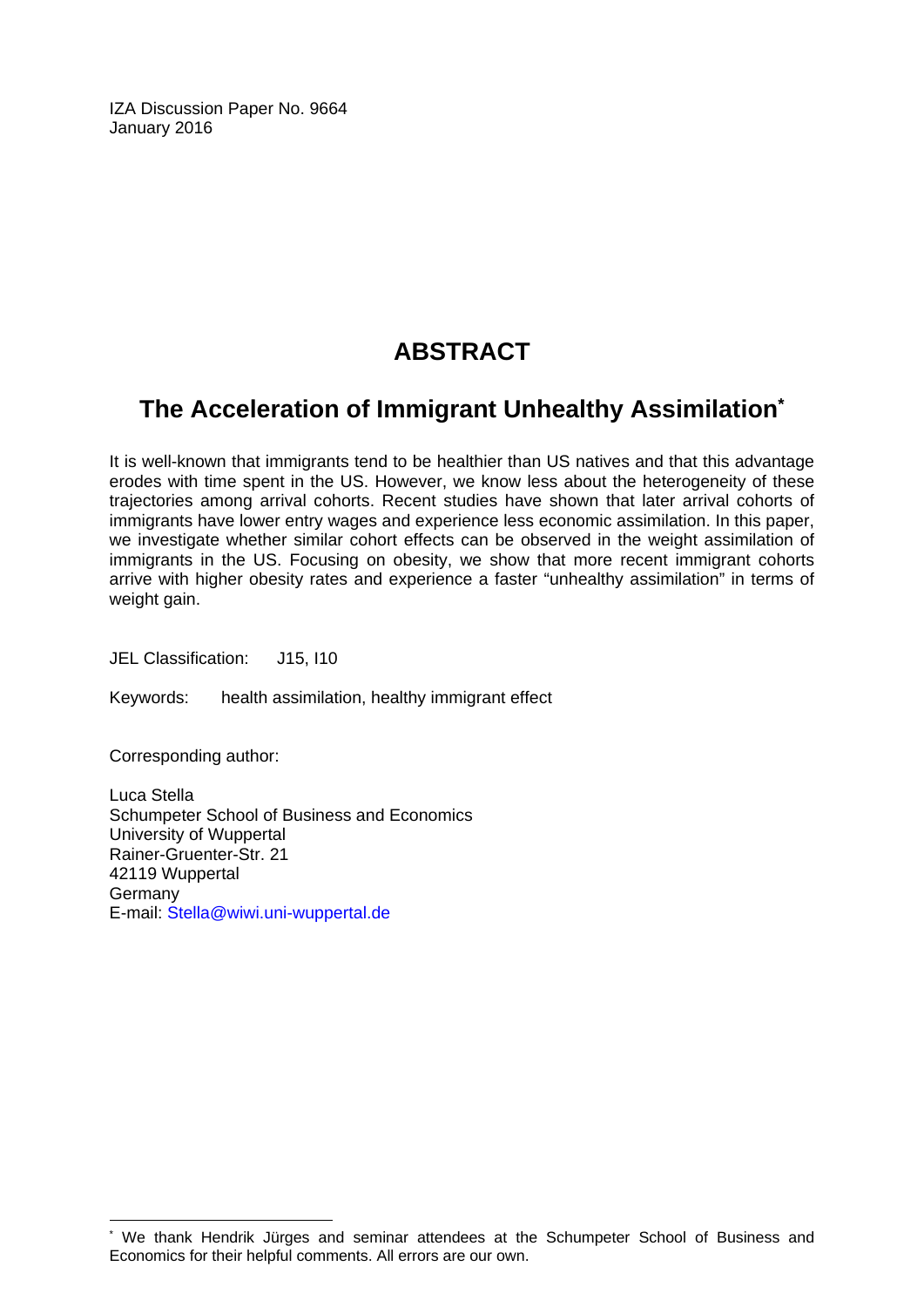IZA Discussion Paper No. 9664 January 2016

# **ABSTRACT**

# **The Acceleration of Immigrant Unhealthy Assimilation\***

It is well-known that immigrants tend to be healthier than US natives and that this advantage erodes with time spent in the US. However, we know less about the heterogeneity of these trajectories among arrival cohorts. Recent studies have shown that later arrival cohorts of immigrants have lower entry wages and experience less economic assimilation. In this paper, we investigate whether similar cohort effects can be observed in the weight assimilation of immigrants in the US. Focusing on obesity, we show that more recent immigrant cohorts arrive with higher obesity rates and experience a faster "unhealthy assimilation" in terms of weight gain.

JEL Classification: J15, I10

Keywords: health assimilation, healthy immigrant effect

Corresponding author:

 $\overline{\phantom{a}}$ 

Luca Stella Schumpeter School of Business and Economics University of Wuppertal Rainer-Gruenter-Str. 21 42119 Wuppertal Germany E-mail: Stella@wiwi.uni-wuppertal.de

<sup>\*</sup> We thank Hendrik Jürges and seminar attendees at the Schumpeter School of Business and Economics for their helpful comments. All errors are our own.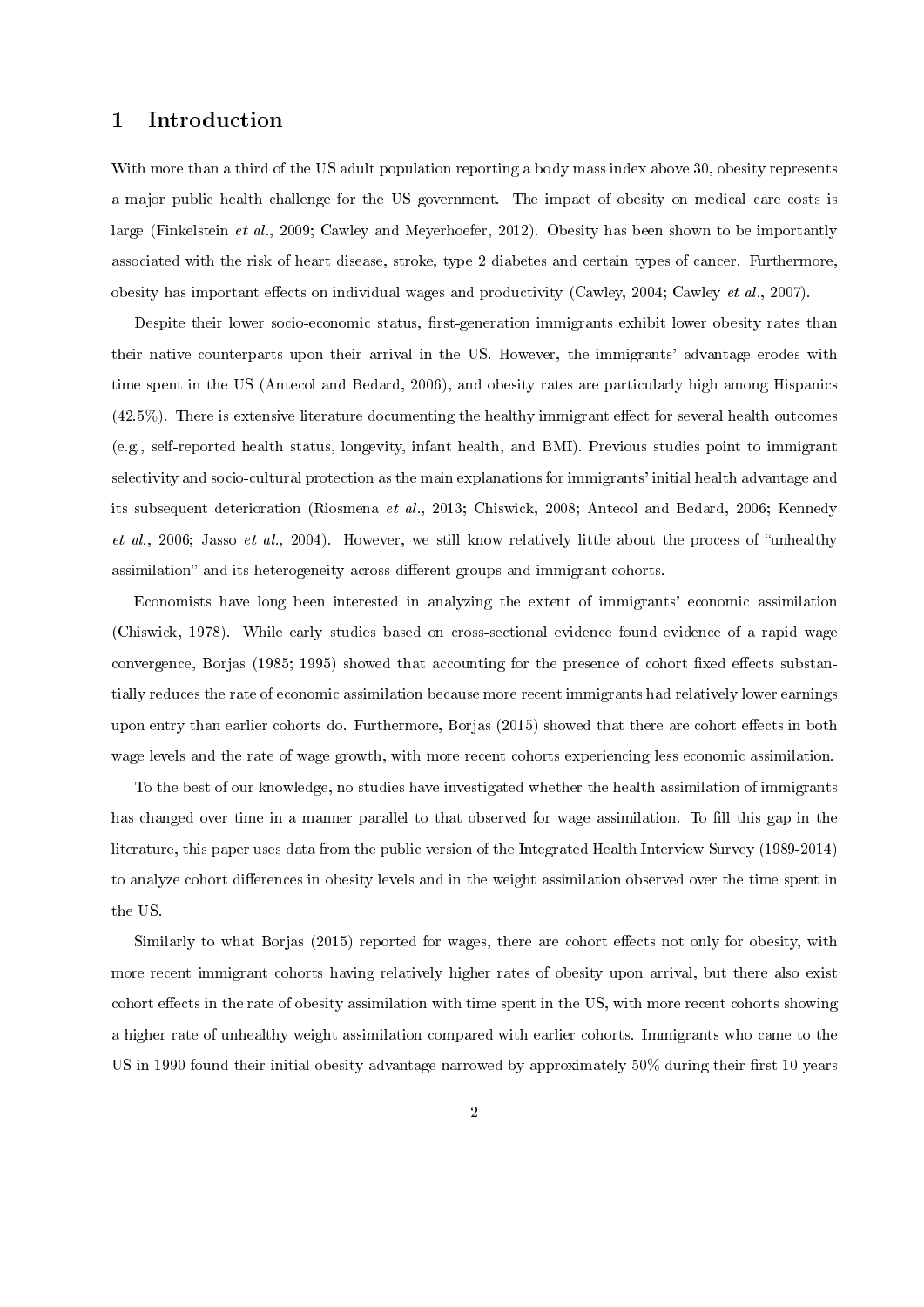### 1 Introduction

With more than a third of the US adult population reporting a body mass index above 30, obesity represents a major public health challenge for the US government. The impact of obesity on medical care costs is large (Finkelstein et al., 2009; Cawley and Meyerhoefer, 2012). Obesity has been shown to be importantly associated with the risk of heart disease, stroke, type 2 diabetes and certain types of cancer. Furthermore, obesity has important effects on individual wages and productivity (Cawley, 2004; Cawley et al., 2007).

Despite their lower socio-economic status, first-generation immigrants exhibit lower obesity rates than their native counterparts upon their arrival in the US. However, the immigrants' advantage erodes with time spent in the US (Antecol and Bedard, 2006), and obesity rates are particularly high among Hispanics  $(42.5\%)$ . There is extensive literature documenting the healthy immigrant effect for several health outcomes (e.g., self-reported health status, longevity, infant health, and BMI). Previous studies point to immigrant selectivity and socio-cultural protection as the main explanations for immigrants' initial health advantage and its subsequent deterioration (Riosmena et al., 2013; Chiswick, 2008; Antecol and Bedard, 2006; Kennedy et al., 2006; Jasso et al., 2004). However, we still know relatively little about the process of "unhealthy" assimilation" and its heterogeneity across different groups and immigrant cohorts.

Economists have long been interested in analyzing the extent of immigrants' economic assimilation (Chiswick, 1978). While early studies based on cross-sectional evidence found evidence of a rapid wage convergence, Borjas (1985; 1995) showed that accounting for the presence of cohort fixed effects substantially reduces the rate of economic assimilation because more recent immigrants had relatively lower earnings upon entry than earlier cohorts do. Furthermore, Borjas (2015) showed that there are cohort effects in both wage levels and the rate of wage growth, with more recent cohorts experiencing less economic assimilation.

To the best of our knowledge, no studies have investigated whether the health assimilation of immigrants has changed over time in a manner parallel to that observed for wage assimilation. To fill this gap in the literature, this paper uses data from the public version of the Integrated Health Interview Survey (1989-2014) to analyze cohort differences in obesity levels and in the weight assimilation observed over the time spent in the US.

Similarly to what Borjas (2015) reported for wages, there are cohort effects not only for obesity, with more recent immigrant cohorts having relatively higher rates of obesity upon arrival, but there also exist cohort effects in the rate of obesity assimilation with time spent in the US, with more recent cohorts showing a higher rate of unhealthy weight assimilation compared with earlier cohorts. Immigrants who came to the US in 1990 found their initial obesity advantage narrowed by approximately  $50\%$  during their first 10 years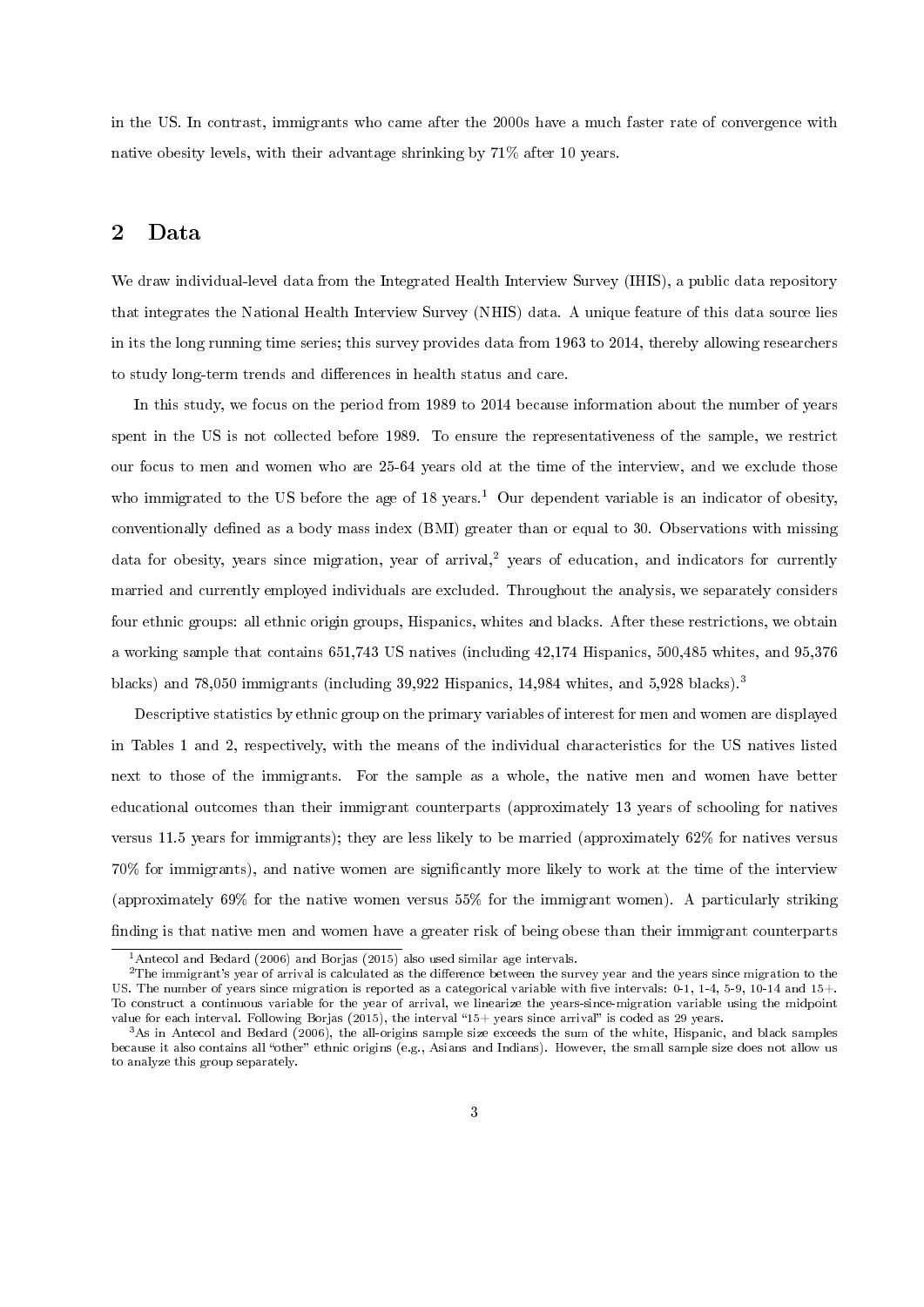in the US. In contrast, immigrants who came after the 2000s have a much faster rate of convergence with native obesity levels, with their advantage shrinking by 71% after 10 years.

#### 2 Data

We draw individual-level data from the Integrated Health Interview Survey (IHIS), a public data repository that integrates the National Health Interview Survey (NHIS) data. A unique feature of this data source lies in its the long running time series; this survey provides data from 1963 to 2014, thereby allowing researchers to study long-term trends and differences in health status and care.

In this study, we focus on the period from 1989 to 2014 because information about the number of years spent in the US is not collected before 1989. To ensure the representativeness of the sample, we restrict our focus to men and women who are 25-64 years old at the time of the interview, and we exclude those who immigrated to the US before the age of  $18$  years.<sup>1</sup> Our dependent variable is an indicator of obesity, conventionally defined as a body mass index (BMI) greater than or equal to 30. Observations with missing data for obesity, years since migration, year of arrival,<sup>2</sup> years of education, and indicators for currently married and currently employed individuals are excluded. Throughout the analysis, we separately considers four ethnic groups: all ethnic origin groups, Hispanics, whites and blacks. After these restrictions, we obtain a working sample that contains 651,743 US natives (including 42,174 Hispanics, 500,485 whites, and 95,376 blacks) and 78,050 immigrants (including 39,922 Hispanics, 14,984 whites, and 5,928 blacks).<sup>3</sup>

Descriptive statistics by ethnic group on the primary variables of interest for men and women are displayed in Tables 1 and 2, respectively, with the means of the individual characteristics for the US natives listed next to those of the immigrants. For the sample as a whole, the native men and women have better educational outcomes than their immigrant counterparts (approximately 13 years of schooling for natives versus 11.5 years for immigrants); they are less likely to be married (approximately 62% for natives versus 70% for immigrants), and native women are signicantly more likely to work at the time of the interview (approximately 69% for the native women versus 55% for the immigrant women). A particularly striking finding is that native men and women have a greater risk of being obese than their immigrant counterparts

<sup>&</sup>lt;sup>1</sup> Antecol and Bedard (2006) and Borjas (2015) also used similar age intervals.

 $2$ The immigrant's year of arrival is calculated as the difference between the survey year and the years since migration to the US. The number of years since migration is reported as a categorical variable with five intervals: 0-1, 1-4, 5-9, 10-14 and 15+. To construct a continuous variable for the year of arrival, we linearize the years-since-migration variable using the midpoint value for each interval. Following Borjas (2015), the interval "15+ years since arrival" is coded as 29 years.

<sup>3</sup>As in Antecol and Bedard (2006), the all-origins sample size exceeds the sum of the white, Hispanic, and black samples because it also contains all "other" ethnic origins (e.g., Asians and Indians). However, the small sample size does not allow us to analyze this group separately.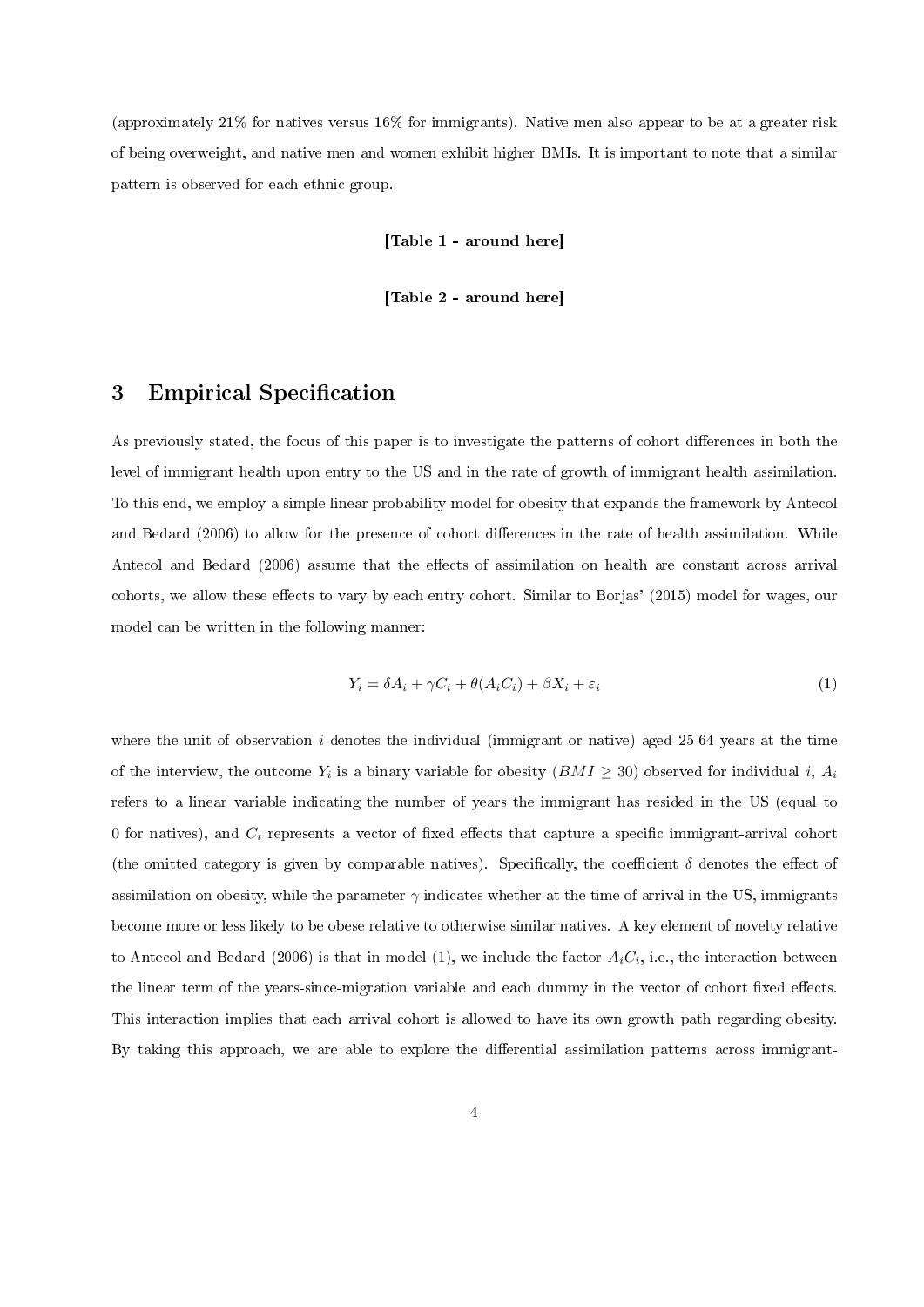(approximately 21% for natives versus 16% for immigrants). Native men also appear to be at a greater risk of being overweight, and native men and women exhibit higher BMIs. It is important to note that a similar pattern is observed for each ethnic group.

[Table 1 - around here]

[Table 2 - around here]

#### 3 Empirical Specification

As previously stated, the focus of this paper is to investigate the patterns of cohort differences in both the level of immigrant health upon entry to the US and in the rate of growth of immigrant health assimilation. To this end, we employ a simple linear probability model for obesity that expands the framework by Antecol and Bedard (2006) to allow for the presence of cohort differences in the rate of health assimilation. While Antecol and Bedard (2006) assume that the effects of assimilation on health are constant across arrival cohorts, we allow these effects to vary by each entry cohort. Similar to Borjas' (2015) model for wages, our model can be written in the following manner:

$$
Y_i = \delta A_i + \gamma C_i + \theta (A_i C_i) + \beta X_i + \varepsilon_i \tag{1}
$$

where the unit of observation i denotes the individual (immigrant or native) aged  $25-64$  years at the time of the interview, the outcome  $Y_i$  is a binary variable for obesity  $(BMI \geq 30)$  observed for individual i,  $A_i$ refers to a linear variable indicating the number of years the immigrant has resided in the US (equal to 0 for natives), and  $C_i$  represents a vector of fixed effects that capture a specific immigrant-arrival cohort (the omitted category is given by comparable natives). Specifically, the coefficient  $\delta$  denotes the effect of assimilation on obesity, while the parameter  $\gamma$  indicates whether at the time of arrival in the US, immigrants become more or less likely to be obese relative to otherwise similar natives. A key element of novelty relative to Antecol and Bedard (2006) is that in model (1), we include the factor  $A_iC_i$ , i.e., the interaction between the linear term of the years-since-migration variable and each dummy in the vector of cohort fixed effects. This interaction implies that each arrival cohort is allowed to have its own growth path regarding obesity. By taking this approach, we are able to explore the differential assimilation patterns across immigrant-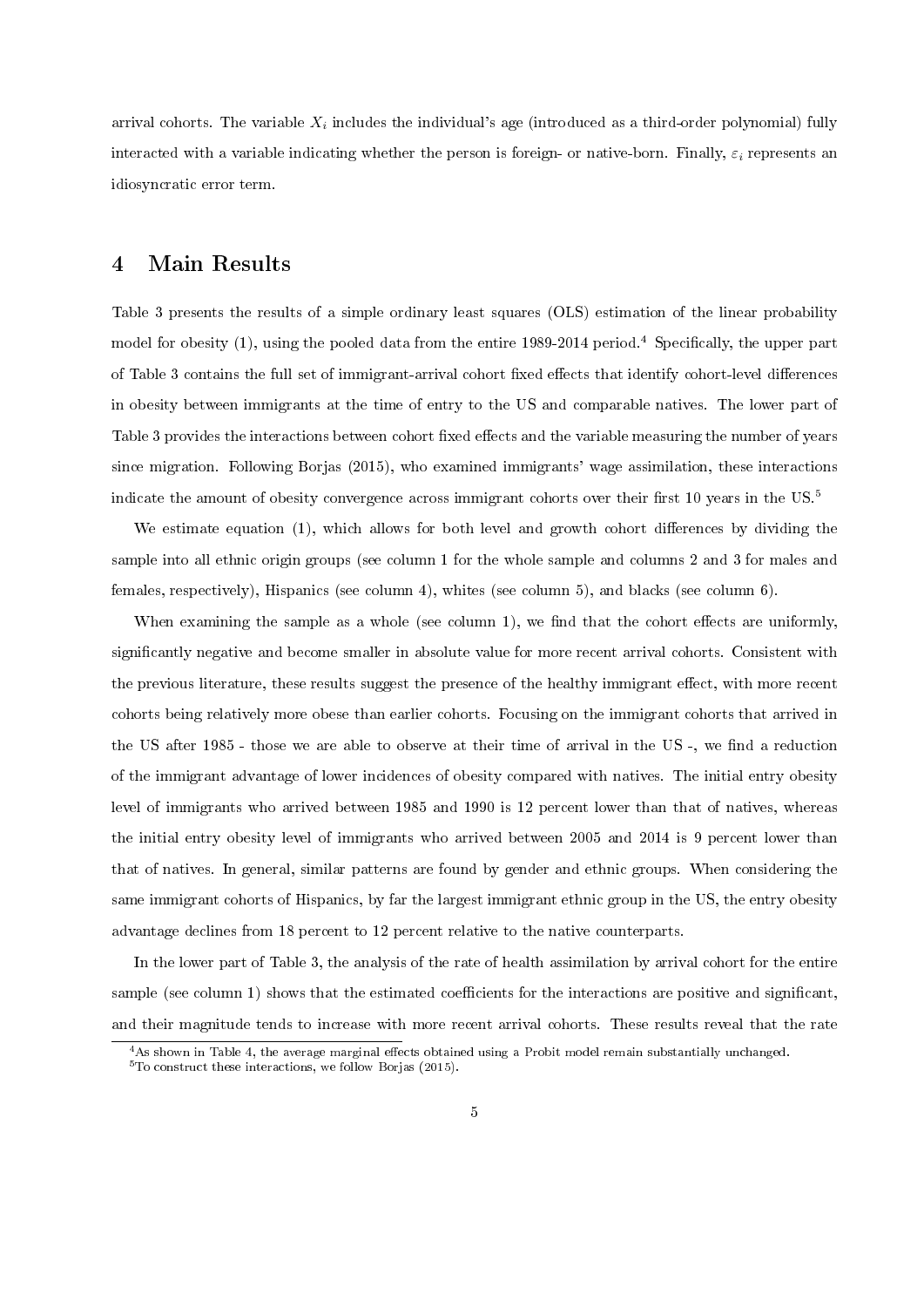arrival cohorts. The variable  $X_i$  includes the individual's age (introduced as a third-order polynomial) fully interacted with a variable indicating whether the person is foreign- or native-born. Finally,  $\varepsilon_i$  represents an idiosyncratic error term.

### 4 Main Results

Table 3 presents the results of a simple ordinary least squares (OLS) estimation of the linear probability model for obesity  $(1)$ , using the pooled data from the entire 1989-2014 period.<sup>4</sup> Specifically, the upper part of Table 3 contains the full set of immigrant-arrival cohort fixed effects that identify cohort-level differences in obesity between immigrants at the time of entry to the US and comparable natives. The lower part of Table 3 provides the interactions between cohort fixed effects and the variable measuring the number of years since migration. Following Borjas (2015), who examined immigrants' wage assimilation, these interactions indicate the amount of obesity convergence across immigrant cohorts over their first 10 years in the US.<sup>5</sup>

We estimate equation  $(1)$ , which allows for both level and growth cohort differences by dividing the sample into all ethnic origin groups (see column 1 for the whole sample and columns 2 and 3 for males and females, respectively), Hispanics (see column 4), whites (see column 5), and blacks (see column 6).

When examining the sample as a whole (see column 1), we find that the cohort effects are uniformly, significantly negative and become smaller in absolute value for more recent arrival cohorts. Consistent with the previous literature, these results suggest the presence of the healthy immigrant effect, with more recent cohorts being relatively more obese than earlier cohorts. Focusing on the immigrant cohorts that arrived in the US after 1985 - those we are able to observe at their time of arrival in the US -, we find a reduction of the immigrant advantage of lower incidences of obesity compared with natives. The initial entry obesity level of immigrants who arrived between 1985 and 1990 is 12 percent lower than that of natives, whereas the initial entry obesity level of immigrants who arrived between 2005 and 2014 is 9 percent lower than that of natives. In general, similar patterns are found by gender and ethnic groups. When considering the same immigrant cohorts of Hispanics, by far the largest immigrant ethnic group in the US, the entry obesity advantage declines from 18 percent to 12 percent relative to the native counterparts.

In the lower part of Table 3, the analysis of the rate of health assimilation by arrival cohort for the entire sample (see column 1) shows that the estimated coefficients for the interactions are positive and significant, and their magnitude tends to increase with more recent arrival cohorts. These results reveal that the rate

 $4$ As shown in Table 4, the average marginal effects obtained using a Probit model remain substantially unchanged.

 $5$ To construct these interactions, we follow Borjas (2015).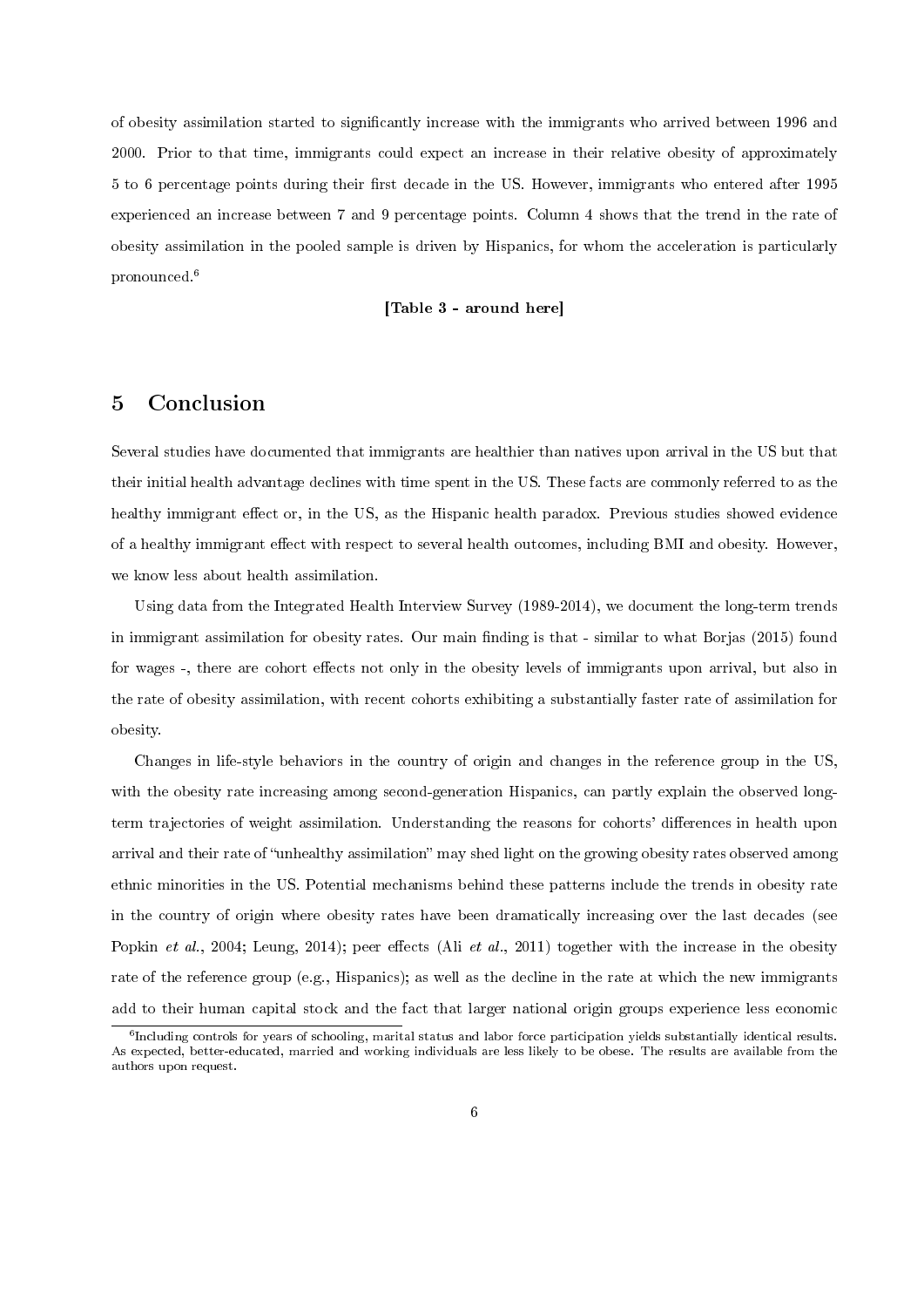of obesity assimilation started to signicantly increase with the immigrants who arrived between 1996 and 2000. Prior to that time, immigrants could expect an increase in their relative obesity of approximately 5 to 6 percentage points during their first decade in the US. However, immigrants who entered after 1995 experienced an increase between 7 and 9 percentage points. Column 4 shows that the trend in the rate of obesity assimilation in the pooled sample is driven by Hispanics, for whom the acceleration is particularly pronounced.<sup>6</sup>

#### [Table 3 - around here]

### 5 Conclusion

Several studies have documented that immigrants are healthier than natives upon arrival in the US but that their initial health advantage declines with time spent in the US. These facts are commonly referred to as the healthy immigrant effect or, in the US, as the Hispanic health paradox. Previous studies showed evidence of a healthy immigrant effect with respect to several health outcomes, including BMI and obesity. However, we know less about health assimilation.

Using data from the Integrated Health Interview Survey (1989-2014), we document the long-term trends in immigrant assimilation for obesity rates. Our main finding is that - similar to what Borjas (2015) found for wages -, there are cohort effects not only in the obesity levels of immigrants upon arrival, but also in the rate of obesity assimilation, with recent cohorts exhibiting a substantially faster rate of assimilation for obesity.

Changes in life-style behaviors in the country of origin and changes in the reference group in the US, with the obesity rate increasing among second-generation Hispanics, can partly explain the observed longterm trajectories of weight assimilation. Understanding the reasons for cohorts' differences in health upon arrival and their rate of "unhealthy assimilation" may shed light on the growing obesity rates observed among ethnic minorities in the US. Potential mechanisms behind these patterns include the trends in obesity rate in the country of origin where obesity rates have been dramatically increasing over the last decades (see Popkin et al., 2004; Leung, 2014); peer effects (Ali et al., 2011) together with the increase in the obesity rate of the reference group (e.g., Hispanics); as well as the decline in the rate at which the new immigrants add to their human capital stock and the fact that larger national origin groups experience less economic

<sup>&</sup>lt;sup>6</sup> Including controls for years of schooling, marital status and labor force participation yields substantially identical results. As expected, better-educated, married and working individuals are less likely to be obese. The results are available from the authors upon request.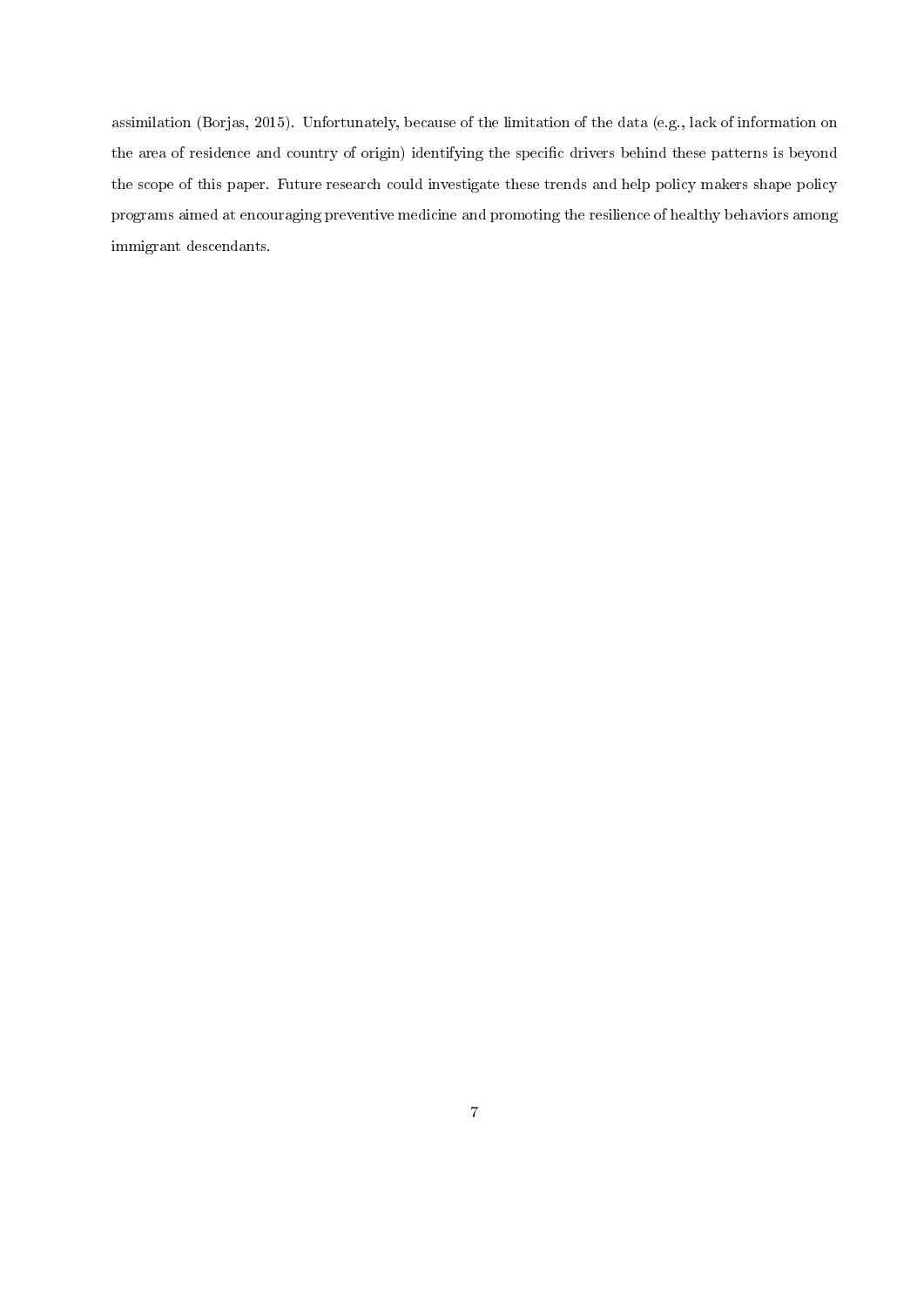assimilation (Borjas, 2015). Unfortunately, because of the limitation of the data (e.g., lack of information on the area of residence and country of origin) identifying the specific drivers behind these patterns is beyond the scope of this paper. Future research could investigate these trends and help policy makers shape policy programs aimed at encouraging preventive medicine and promoting the resilience of healthy behaviors among immigrant descendants.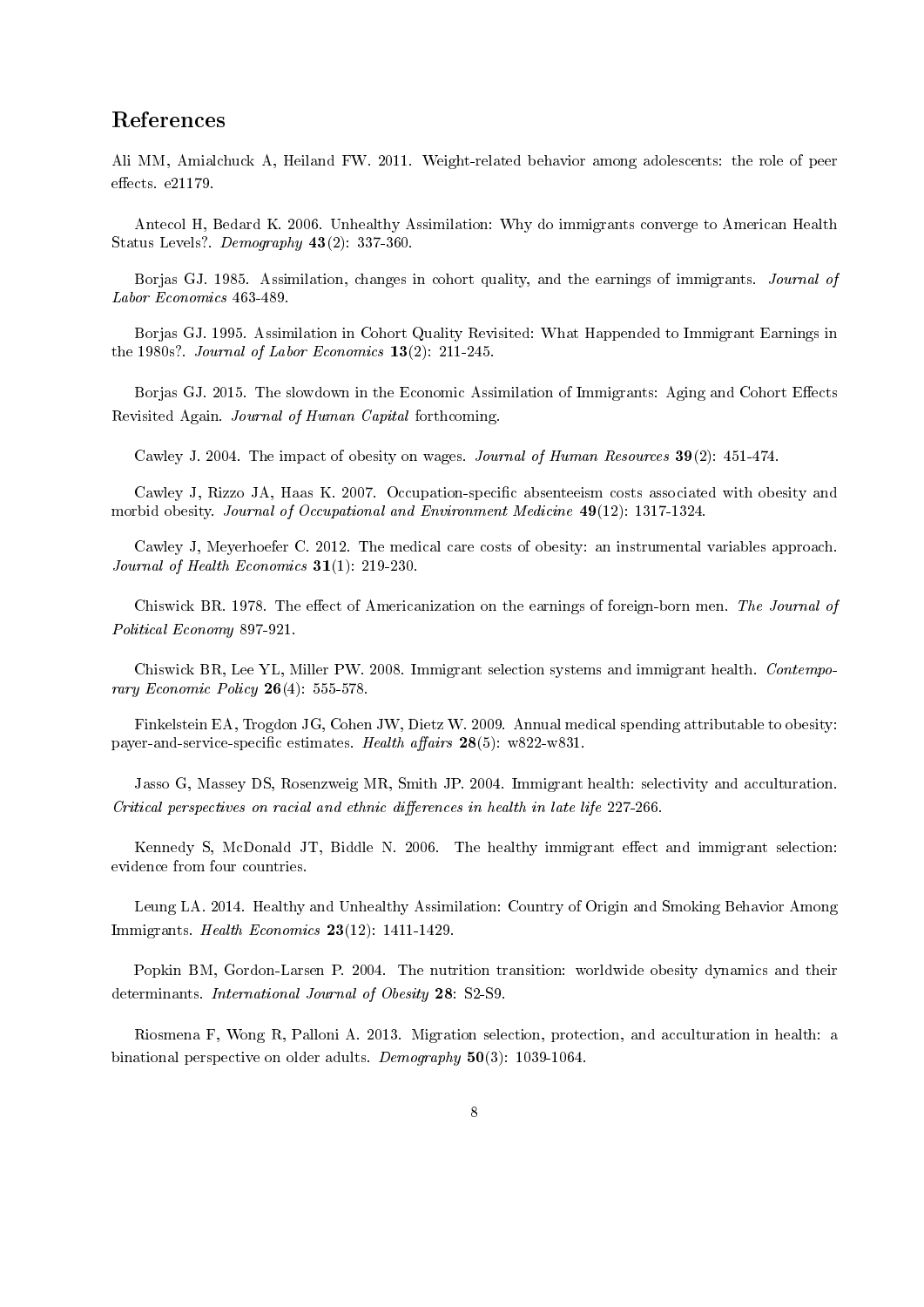### References

Ali MM, Amialchuck A, Heiland FW. 2011. Weight-related behavior among adolescents: the role of peer  $effects.$   $e21179.$ 

Antecol H, Bedard K. 2006. Unhealthy Assimilation: Why do immigrants converge to American Health Status Levels?. Demography 43(2): 337-360.

Borjas GJ. 1985. Assimilation, changes in cohort quality, and the earnings of immigrants. Journal of Labor Economics 463-489.

Borjas GJ. 1995. Assimilation in Cohort Quality Revisited: What Happended to Immigrant Earnings in the 1980s?. Journal of Labor Economics 13(2): 211-245.

Borjas GJ. 2015. The slowdown in the Economic Assimilation of Immigrants: Aging and Cohort Effects Revisited Again. Journal of Human Capital forthcoming.

Cawley J. 2004. The impact of obesity on wages. Journal of Human Resources 39(2): 451-474.

Cawley J, Rizzo JA, Haas K. 2007. Occupation-specific absenteeism costs associated with obesity and morbid obesity. Journal of Occupational and Environment Medicine 49(12): 1317-1324.

Cawley J, Meyerhoefer C. 2012. The medical care costs of obesity: an instrumental variables approach. Journal of Health Economics 31(1): 219-230.

Chiswick BR. 1978. The effect of Americanization on the earnings of foreign-born men. The Journal of Political Economy 897-921.

Chiswick BR, Lee YL, Miller PW. 2008. Immigrant selection systems and immigrant health. Contemporary Economic Policy  $26(4)$ : 555-578.

Finkelstein EA, Trogdon JG, Cohen JW, Dietz W. 2009. Annual medical spending attributable to obesity: payer-and-service-specific estimates. Health affairs  $28(5)$ : w822-w831.

Jasso G, Massey DS, Rosenzweig MR, Smith JP. 2004. Immigrant health: selectivity and acculturation.  $Critical$  perspectives on racial and ethnic differences in health in late life  $227-266$ .

Kennedy S, McDonald JT, Biddle N. 2006. The healthy immigrant effect and immigrant selection: evidence from four countries.

Leung LA. 2014. Healthy and Unhealthy Assimilation: Country of Origin and Smoking Behavior Among Immigrants. Health Economics 23(12): 1411-1429.

Popkin BM, Gordon-Larsen P. 2004. The nutrition transition: worldwide obesity dynamics and their determinants. International Journal of Obesity 28: S2-S9.

Riosmena F, Wong R, Palloni A. 2013. Migration selection, protection, and acculturation in health: a binational perspective on older adults. Demography 50(3): 1039-1064.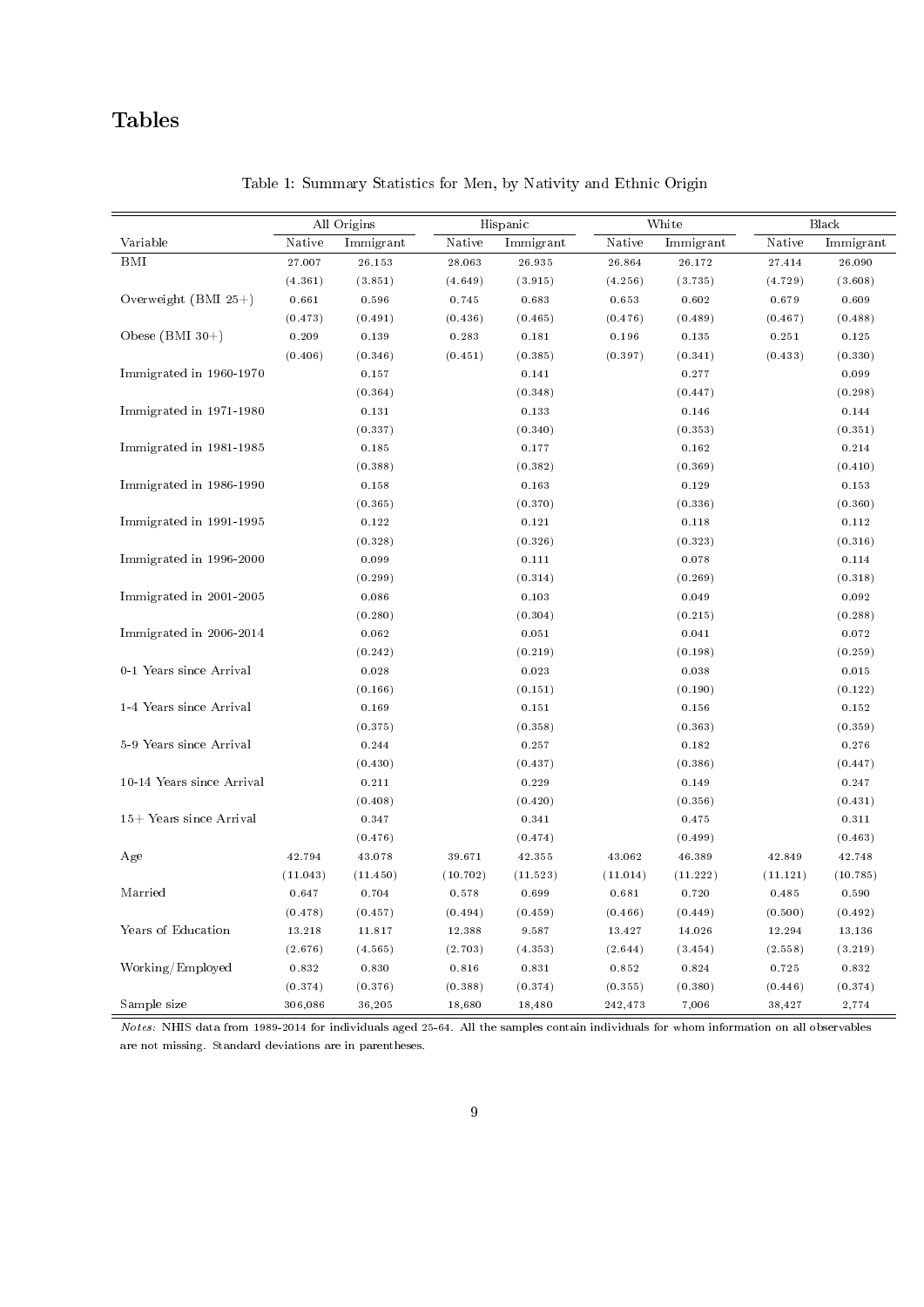# Tables

|                           |          | All Origins | Hispanic |           |          | White     | Black    |           |  |
|---------------------------|----------|-------------|----------|-----------|----------|-----------|----------|-----------|--|
| Variable                  | Native   | Immigrant   | Native   | Immigrant | Native   | Immigrant | Native   | Immigrant |  |
| <b>BMI</b>                | 27.007   | 26.153      | 28.063   | 26.935    | 26.864   | 26.172    | 27.414   | 26.090    |  |
|                           | (4.361)  | (3.851)     | (4.649)  | (3.915)   | (4.256)  | (3.735)   | (4.729)  | (3.608)   |  |
| Overweight (BMI 25+)      | 0.661    | 0.596       | 0.745    | 0.683     | 0.653    | 0.602     | 0.679    | 0.609     |  |
|                           | (0.473)  | (0.491)     | (0.436)  | (0.465)   | (0.476)  | (0.489)   | (0.467)  | (0.488)   |  |
| Obese $(BMI 30+)$         | 0.209    | 0.139       | 0.283    | 0.181     | 0.196    | 0.135     | 0.251    | 0.125     |  |
|                           | (0.406)  | (0.346)     | (0.451)  | (0.385)   | (0.397)  | (0.341)   | (0.433)  | (0.330)   |  |
| Immigrated in 1960-1970   |          | 0.157       |          | 0.141     |          | 0.277     |          | 0.099     |  |
|                           |          | (0.364)     |          | (0.348)   |          | (0.447)   |          | (0.298)   |  |
| Immigrated in 1971-1980   |          | 0.131       |          | 0.133     |          | $0.146\,$ |          | $0.144\,$ |  |
|                           |          | (0.337)     |          | (0.340)   |          | (0.353)   |          | (0.351)   |  |
| Immigrated in 1981-1985   |          | 0.185       |          | 0.177     |          | 0.162     |          | 0.214     |  |
|                           |          | (0.388)     |          | (0.382)   |          | (0.369)   |          | (0.410)   |  |
| Immigrated in 1986-1990   |          | 0.158       |          | 0.163     |          | 0.129     |          | 0.153     |  |
|                           |          | (0.365)     |          | (0.370)   |          | (0.336)   |          | (0.360)   |  |
| Immigrated in 1991-1995   |          | 0.122       |          | 0.121     |          | 0.118     |          | 0.112     |  |
|                           |          | (0.328)     |          | (0.326)   |          | (0.323)   |          | (0.316)   |  |
| Immigrated in 1996-2000   |          | 0.099       |          | 0.111     |          | 0.078     |          | 0.114     |  |
|                           |          | (0.299)     |          | (0.314)   |          | (0.269)   |          | (0.318)   |  |
| Immigrated in 2001-2005   |          | 0.086       |          | 0.103     |          | 0.049     |          | 0.092     |  |
|                           |          | (0.280)     |          | (0.304)   |          | (0.215)   |          | (0.288)   |  |
| Immigrated in 2006-2014   |          | 0.062       |          | 0.051     |          | 0.041     |          | 0.072     |  |
|                           |          | (0.242)     |          | (0.219)   |          | (0.198)   |          | (0.259)   |  |
| 0-1 Years since Arrival   |          | 0.028       |          | 0.023     |          | 0.038     |          | 0.015     |  |
|                           |          | (0.166)     |          | (0.151)   | (0.190)  |           |          | (0.122)   |  |
| 1-4 Years since Arrival   |          | 0.169       |          | 0.151     |          | 0.156     |          | 0.152     |  |
|                           |          | (0.375)     |          | (0.358)   |          | (0.363)   |          | (0.359)   |  |
| 5-9 Years since Arrival   |          | 0.244       |          | 0.257     |          | 0.182     |          | 0.276     |  |
|                           |          | (0.430)     |          | (0.437)   |          | (0.386)   |          | (0.447)   |  |
| 10-14 Years since Arrival |          | 0.211       |          | 0.229     |          | 0.149     |          | 0.247     |  |
|                           |          | (0.408)     |          | (0.420)   |          | (0.356)   |          | (0.431)   |  |
| 15+ Years since Arrival   |          | 0.347       |          | 0.341     |          | 0.475     |          | 0.311     |  |
|                           |          | (0.476)     |          | (0.474)   |          | (0.499)   |          | (0.463)   |  |
| Age                       | 42.794   | 43.078      | 39.671   | 42.355    | 43.062   | 46.389    | 42.849   | 42.748    |  |
|                           | (11.043) | (11.450)    | (10.702) | (11.523)  | (11.014) | (11.222)  | (11.121) | (10.785)  |  |
| Married                   | 0.647    | 0.704       | 0.578    | 0.699     | 0.681    | 0.720     | 0.485    | 0.590     |  |
|                           | (0.478)  | (0.457)     | (0.494)  | (0.459)   | (0.466)  | (0.449)   | (0.500)  | (0.492)   |  |
| Years of Education        | 13.218   | 11.817      | 12.388   | 9.587     | 13.427   | 14.026    | 12.294   | 13.136    |  |
|                           | (2.676)  | (4.565)     | (2.703)  | (4.353)   | (2.644)  | (3.454)   | (2.558)  | (3.219)   |  |
| Working/Employed          | 0.832    | 0.830       | 0.816    | 0.831     | 0.852    | 0.824     | 0.725    | 0.832     |  |
|                           | (0.374)  | (0.376)     | (0.388)  | (0.374)   | (0.355)  | (0.380)   | (0.446)  | (0.374)   |  |
| Sample size               | 306,086  | 36,205      | 18,680   | 18,480    | 242,473  | 7,006     | 38,427   | 2,774     |  |

Table 1: Summary Statistics for Men, by Nativity and Ethnic Origin

Notes: NHIS data from 1989-2014 for individuals aged 25-64. All the samples contain individuals for whom information on all observables are not missing. Standard deviations are in parentheses.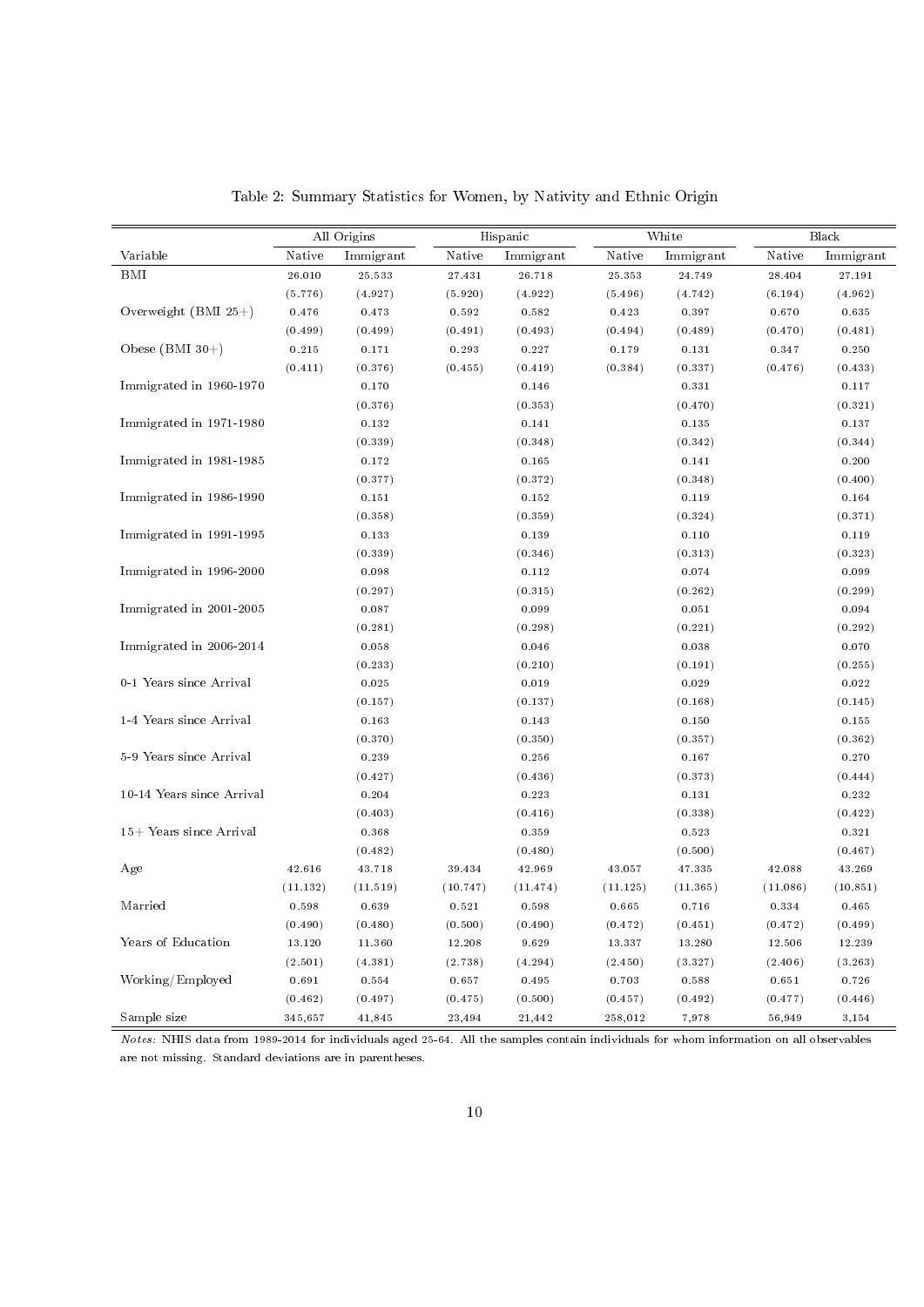|                           |          | All Origins | Hispanic             |           |          | White     | Black    |           |  |
|---------------------------|----------|-------------|----------------------|-----------|----------|-----------|----------|-----------|--|
| Variable                  | Native   | Immigrant   | $\rm{N}\rm{\,ative}$ | Immigrant | Native   | Immigrant | Native   | Immigrant |  |
| BMI                       | 26.010   | 25.533      | 27.431               | 26.718    | 25.353   | 24.749    | 28.404   | 27.191    |  |
|                           | (5.776)  | (4.927)     | (5.920)              | (4.922)   | (5.496)  | (4.742)   | (6.194)  | (4.962)   |  |
| Overweight $(BMI 25+)$    | 0.476    | 0.473       | 0.592                | 0.582     | 0.423    | 0.397     | 0.670    | 0.635     |  |
|                           | (0.499)  | (0.499)     | (0.491)              | (0.493)   | (0.494)  | (0.489)   | (0.470)  | (0.481)   |  |
| Obese $(BMI 30+)$         | 0.215    | 0.171       | 0.293                | 0.227     | 0.179    | 0.131     | 0.347    | 0.250     |  |
|                           | (0.411)  | (0.376)     | (0.455)              | (0.419)   | (0.384)  | (0.337)   | (0.476)  | (0.433)   |  |
| Immigrated in 1960-1970   |          | 0.170       |                      | 0.146     |          | 0.331     |          | 0.117     |  |
|                           |          | (0.376)     |                      | (0.353)   |          | (0.470)   |          | (0.321)   |  |
| Immigrated in 1971-1980   |          | 0.132       |                      | 0.141     |          | 0.135     |          | 0.137     |  |
|                           |          | (0.339)     |                      | (0.348)   |          | (0.342)   |          | (0.344)   |  |
| Immigrated in 1981-1985   |          | 0.172       |                      | 0.165     |          | 0.141     |          | 0.200     |  |
|                           |          | (0.377)     |                      | (0.372)   |          | (0.348)   |          | (0.400)   |  |
| Immigrated in 1986-1990   |          | 0.151       |                      | 0.152     |          | 0.119     |          | 0.164     |  |
|                           |          | (0.358)     |                      | (0.359)   |          | (0.324)   |          | (0.371)   |  |
| Immigrated in 1991-1995   |          | 0.133       |                      | 0.139     |          | 0.110     |          | 0.119     |  |
|                           |          | (0.339)     |                      | (0.346)   |          | (0.313)   |          | (0.323)   |  |
| Immigrated in 1996-2000   |          | 0.098       |                      | 0.112     |          | 0.074     |          | 0.099     |  |
|                           |          | (0.297)     |                      | (0.315)   |          | (0.262)   |          | (0.299)   |  |
| Immigrated in 2001-2005   |          | 0.087       |                      | 0.099     |          | 0.051     |          | 0.094     |  |
|                           |          | (0.281)     |                      | (0.298)   |          | (0.221)   |          | (0.292)   |  |
| Immigrated in 2006-2014   |          | 0.058       |                      | 0.046     |          | 0.038     |          | 0.070     |  |
|                           |          | (0.233)     |                      | (0.210)   |          | (0.191)   |          | (0.255)   |  |
| 0-1 Years since Arrival   |          | 0.025       |                      | 0.019     |          | 0.029     |          | 0.022     |  |
|                           |          | (0.157)     |                      | (0.137)   |          | (0.168)   |          | (0.145)   |  |
| 1-4 Years since Arrival   |          | 0.163       |                      | 0.143     |          | 0.150     |          | 0.155     |  |
|                           |          | (0.370)     |                      | (0.350)   |          | (0.357)   |          | (0.362)   |  |
| 5-9 Years since Arrival   |          | 0.239       |                      | 0.256     |          | 0.167     |          | 0.270     |  |
|                           |          | (0.427)     |                      | (0.436)   |          | (0.373)   |          | (0.444)   |  |
| 10-14 Years since Arrival |          | 0.204       |                      | 0.223     |          | 0.131     |          | 0.232     |  |
|                           |          | (0.403)     |                      | (0.416)   |          | (0.338)   |          | (0.422)   |  |
| 15+ Years since Arrival   |          | 0.368       |                      | 0.359     |          | 0.523     |          | 0.321     |  |
|                           |          | (0.482)     |                      | (0.480)   |          | (0.500)   |          | (0.467)   |  |
| Age                       | 42.616   | 43.718      | 39.434               | 42.969    | 43.057   | 47.335    | 42.088   | 43.269    |  |
|                           | (11.132) | (11.519)    | (10.747)             | (11.474)  | (11.125) | (11.365)  | (11.086) | (10.851)  |  |
| Married                   | 0.598    | 0.639       | 0.521                | 0.598     | 0.665    | 0.716     | 0.334    | 0.465     |  |
|                           | (0.490)  | (0.480)     | (0.500)              | (0.490)   | (0.472)  | (0.451)   | (0.472)  | (0.499)   |  |
| Years of Education        | 13.120   | 11.360      | 12.208               | 9.629     | 13.337   | 13.280    | 12.506   | 12.239    |  |
|                           | (2.501)  | (4.381)     | (2.738)              | (4.294)   | (2.450)  | (3.327)   | (2.406)  | (3.263)   |  |
| Working/Employed          | 0.691    | 0.554       | 0.657                | 0.495     | 0.703    | 0.588     | 0.651    | 0.726     |  |
|                           | (0.462)  | (0.497)     | (0.475)              | (0.500)   | (0.457)  | (0.492)   | (0.477)  | (0.446)   |  |
| Sample size               | 345,657  | 41,845      | 23,494               | 21,442    | 258,012  | 7,978     | 56,949   | 3,154     |  |

Table 2: Summary Statistics for Women, by Nativity and Ethnic Origin

Notes: NHIS data from 1989-2014 for individuals aged 25-64. All the samples contain individuals for whom information on all observables are not missing. Standard deviations are in parentheses.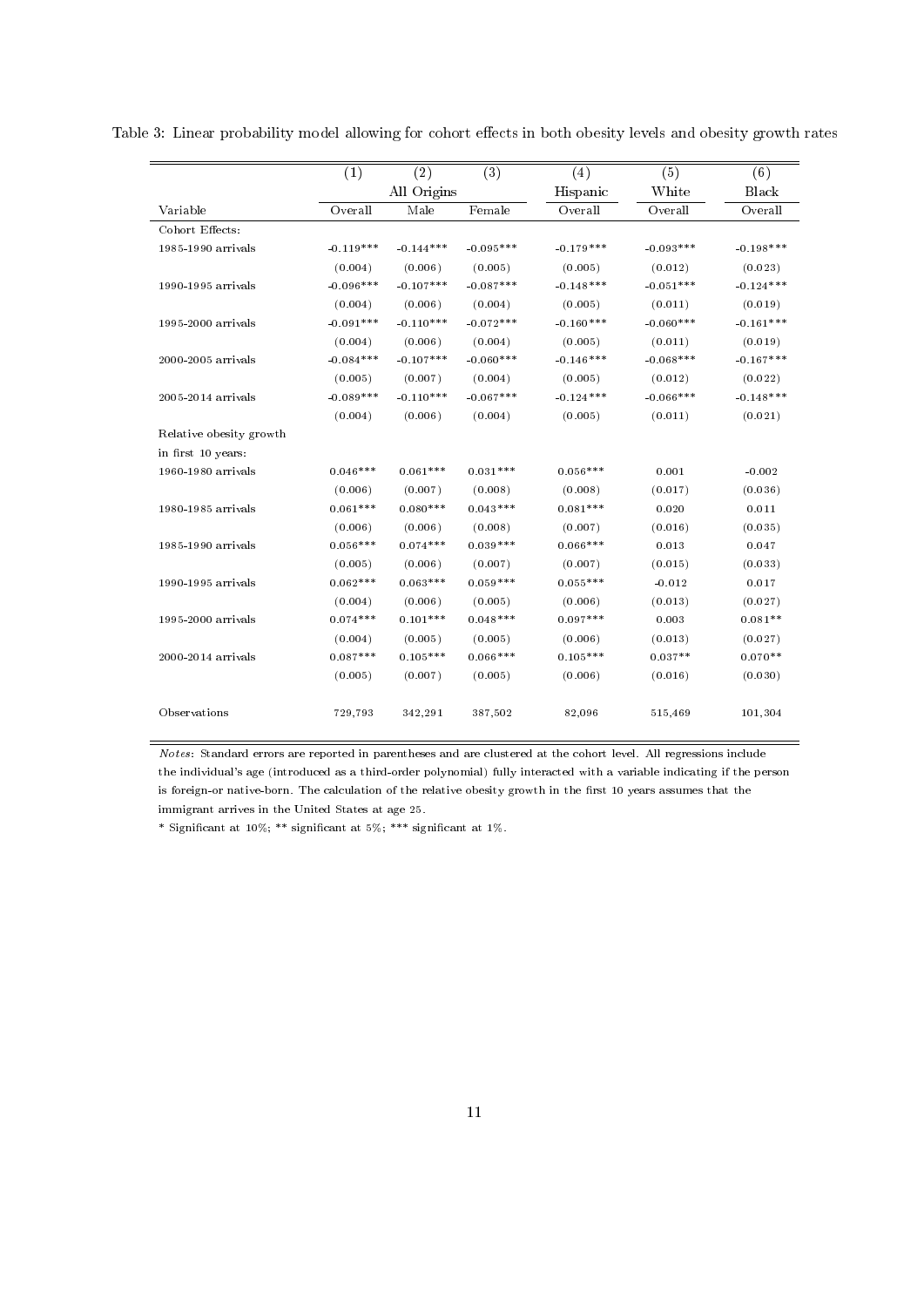|                         | (1)         | (2)         | (3)         | (4)         | (5)         | (6)          |
|-------------------------|-------------|-------------|-------------|-------------|-------------|--------------|
|                         |             | All Origins |             | Hispanic    | White       | <b>Black</b> |
| Variable                | Overall     | Male        | Female      | Overall     | Overall     | Overall      |
| Cohort Effects:         |             |             |             |             |             |              |
| 1985-1990 arrivals      | $-0.119***$ | $-0.144***$ | $-0.095***$ | $-0.179***$ | $-0.093***$ | $-0.198***$  |
|                         | (0.004)     | (0.006)     | (0.005)     | (0.005)     | (0.012)     | (0.023)      |
| 1990-1995 arrivals      | $-0.096***$ | $-0.107***$ | $-0.087***$ | $-0.148***$ | $-0.051***$ | $-0.124***$  |
|                         | (0.004)     | (0.006)     | (0.004)     | (0.005)     | (0.011)     | (0.019)      |
| 1995-2000 arrivals      | $-0.091***$ | $-0.110***$ | $-0.072***$ | $-0.160***$ | $-0.060***$ | $-0.161***$  |
|                         | (0.004)     | (0.006)     | (0.004)     | (0.005)     | (0.011)     | (0.019)      |
| 2000-2005 arrivals      | $-0.084***$ | $-0.107***$ | $-0.060***$ | $-0.146***$ | $-0.068***$ | $-0.167***$  |
|                         | (0.005)     | (0.007)     | (0.004)     | (0.005)     | (0.012)     | (0.022)      |
| 2005-2014 arrivals      | $-0.089***$ | $-0.110***$ | $-0.067***$ | $-0.124***$ | $-0.066***$ | $-0.148***$  |
|                         | (0.004)     | (0.006)     | (0.004)     | (0.005)     | (0.011)     | (0.021)      |
| Relative obesity growth |             |             |             |             |             |              |
| in first 10 years:      |             |             |             |             |             |              |
| 1960-1980 arrivals      | $0.046***$  | $0.061***$  | $0.031***$  | $0.056***$  | 0.001       | $-0.002$     |
|                         | (0.006)     | (0.007)     | (0.008)     | (0.008)     | (0.017)     | (0.036)      |
| 1980-1985 arrivals      | $0.061***$  | $0.080***$  | $0.043***$  | $0.081***$  | 0.020       | 0.011        |
|                         | (0.006)     | (0.006)     | (0.008)     | (0.007)     | (0.016)     | (0.035)      |
| 1985-1990 arrivals      | $0.056***$  | $0.074***$  | $0.039***$  | $0.066***$  | 0.013       | 0.047        |
|                         | (0.005)     | (0.006)     | (0.007)     | (0.007)     | (0.015)     | (0.033)      |
| 1990-1995 arrivals      | $0.062***$  | $0.063***$  | $0.059***$  | $0.055***$  | $-0.012$    | 0.017        |
|                         | (0.004)     | (0.006)     | (0.005)     | (0.006)     | (0.013)     | (0.027)      |
| 1995-2000 arrivals      | $0.074***$  | $0.101***$  | $0.048***$  | $0.097***$  | 0.003       | $0.081**$    |
|                         | (0.004)     | (0.005)     | (0.005)     | (0.006)     | (0.013)     | (0.027)      |
| 2000-2014 arrivals      | $0.087***$  | $0.105***$  | $0.066***$  | $0.105***$  | $0.037**$   | $0.070**$    |
|                         | (0.005)     | (0.007)     | (0.005)     | (0.006)     | (0.016)     | (0.030)      |
| Observations            | 729,793     | 342,291     | 387,502     | 82,096      | 515,469     | 101,304      |

Table 3: Linear probability model allowing for cohort effects in both obesity levels and obesity growth rates

Notes: Standard errors are reported in parentheses and are clustered at the cohort level. All regressions include the individual's age (introduced as a third-order polynomial) fully interacted with a variable indicating if the person is foreign-or native-born. The calculation of the relative obesity growth in the first 10 years assumes that the immigrant arrives in the United States at age 25.

\* Significant at  $10\%$ ; \*\* significant at  $5\%$ ; \*\*\* significant at  $1\%$ .